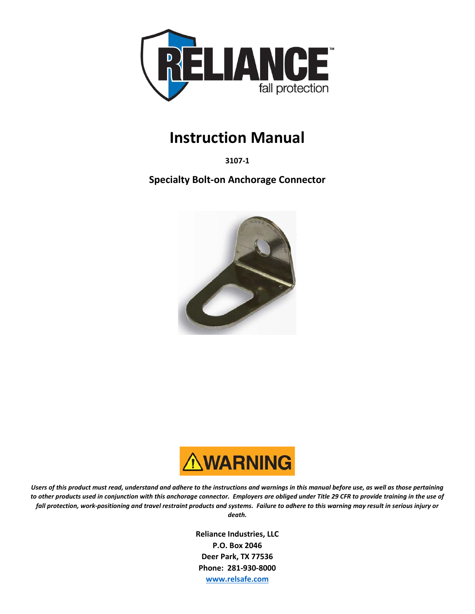

# **Instruction Manual**

**3107-1**

**Specialty Bolt-on Anchorage Connector**





*Users of this product must read, understand and adhere to the instructions and warnings in this manual before use, as well as those pertaining to other products used in conjunction with this anchorage connector. Employers are obliged under Title 29 CFR to provide training in the use of fall protection, work-positioning and travel restraint products and systems. Failure to adhere to this warning may result in serious injury or death.*

> **Reliance Industries, LLC P.O. Box 2046 Deer Park, TX 77536 Phone: 281-930-8000 [www.relsafe.com](http://www.relsafe.com/)**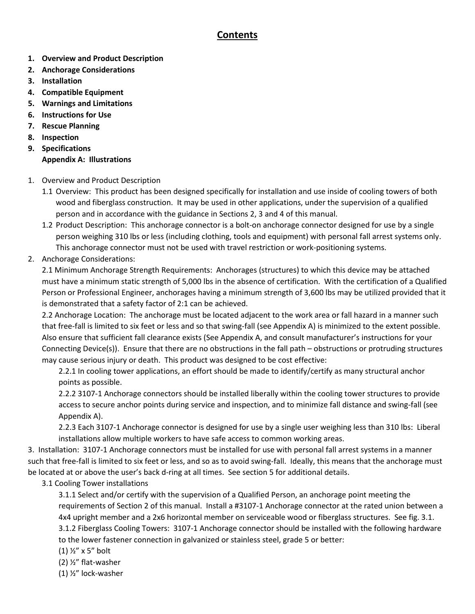# **Contents**

- **1. Overview and Product Description**
- **2. Anchorage Considerations**
- **3. Installation**
- **4. Compatible Equipment**
- **5. Warnings and Limitations**
- **6. Instructions for Use**
- **7. Rescue Planning**
- **8. Inspection**
- **9. Specifications Appendix A: Illustrations**
- 1. Overview and Product Description
	- 1.1 Overview: This product has been designed specifically for installation and use inside of cooling towers of both wood and fiberglass construction. It may be used in other applications, under the supervision of a qualified person and in accordance with the guidance in Sections 2, 3 and 4 of this manual.
	- 1.2 Product Description: This anchorage connector is a bolt-on anchorage connector designed for use by a single person weighing 310 lbs or less (including clothing, tools and equipment) with personal fall arrest systems only. This anchorage connector must not be used with travel restriction or work-positioning systems.
- 2. Anchorage Considerations:

2.1 Minimum Anchorage Strength Requirements: Anchorages (structures) to which this device may be attached must have a minimum static strength of 5,000 lbs in the absence of certification. With the certification of a Qualified Person or Professional Engineer, anchorages having a minimum strength of 3,600 lbs may be utilized provided that it is demonstrated that a safety factor of 2:1 can be achieved.

2.2 Anchorage Location: The anchorage must be located adjacent to the work area or fall hazard in a manner such that free-fall is limited to six feet or less and so that swing-fall (see Appendix A) is minimized to the extent possible. Also ensure that sufficient fall clearance exists (See Appendix A, and consult manufacturer's instructions for your Connecting Device(s)). Ensure that there are no obstructions in the fall path – obstructions or protruding structures may cause serious injury or death. This product was designed to be cost effective:

2.2.1 In cooling tower applications, an effort should be made to identify/certify as many structural anchor points as possible.

2.2.2 3107-1 Anchorage connectors should be installed liberally within the cooling tower structures to provide access to secure anchor points during service and inspection, and to minimize fall distance and swing-fall (see Appendix A).

2.2.3 Each 3107-1 Anchorage connector is designed for use by a single user weighing less than 310 lbs: Liberal installations allow multiple workers to have safe access to common working areas.

3. Installation: 3107-1 Anchorage connectors must be installed for use with personal fall arrest systems in a manner such that free-fall is limited to six feet or less, and so as to avoid swing-fall. Ideally, this means that the anchorage must be located at or above the user's back d-ring at all times. See section 5 for additional details.

3.1 Cooling Tower installations

3.1.1 Select and/or certify with the supervision of a Qualified Person, an anchorage point meeting the requirements of Section 2 of this manual. Install a #3107-1 Anchorage connector at the rated union between a 4x4 upright member and a 2x6 horizontal member on serviceable wood or fiberglass structures. See fig. 3.1. 3.1.2 Fiberglass Cooling Towers: 3107-1 Anchorage connector should be installed with the following hardware to the lower fastener connection in galvanized or stainless steel, grade 5 or better:

- (1) ½" x 5" bolt
- (2) ½" flat-washer
- (1) ½" lock-washer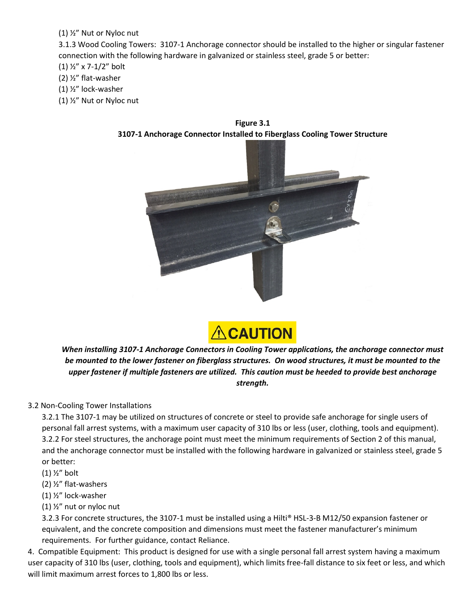#### (1) ½" Nut or Nyloc nut

3.1.3 Wood Cooling Towers: 3107-1 Anchorage connector should be installed to the higher or singular fastener connection with the following hardware in galvanized or stainless steel, grade 5 or better:

(1) ½" x 7-1/2" bolt

- (2) ½" flat-washer
- (1) ½" lock-washer
- (1) ½" Nut or Nyloc nut



**Figure 3.1 3107-1 Anchorage Connector Installed to Fiberglass Cooling Tower Structure**



*When installing 3107-1 Anchorage Connectors in Cooling Tower applications, the anchorage connector must be mounted to the lower fastener on fiberglass structures. On wood structures, it must be mounted to the upper fastener if multiple fasteners are utilized. This caution must be heeded to provide best anchorage strength.*

### 3.2 Non-Cooling Tower Installations

3.2.1 The 3107-1 may be utilized on structures of concrete or steel to provide safe anchorage for single users of personal fall arrest systems, with a maximum user capacity of 310 lbs or less (user, clothing, tools and equipment). 3.2.2 For steel structures, the anchorage point must meet the minimum requirements of Section 2 of this manual, and the anchorage connector must be installed with the following hardware in galvanized or stainless steel, grade 5 or better:

- (1) ½" bolt
- (2) ½" flat-washers
- (1) ½" lock-washer
- (1) ½" nut or nyloc nut

3.2.3 For concrete structures, the 3107-1 must be installed using a Hilti® HSL-3-B M12/50 expansion fastener or equivalent, and the concrete composition and dimensions must meet the fastener manufacturer's minimum requirements. For further guidance, contact Reliance.

4. Compatible Equipment: This product is designed for use with a single personal fall arrest system having a maximum user capacity of 310 lbs (user, clothing, tools and equipment), which limits free-fall distance to six feet or less, and which will limit maximum arrest forces to 1,800 lbs or less.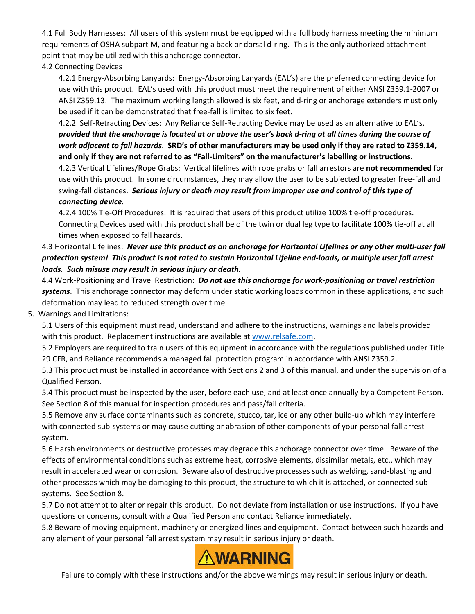4.1 Full Body Harnesses: All users of this system must be equipped with a full body harness meeting the minimum requirements of OSHA subpart M, and featuring a back or dorsal d-ring. This is the only authorized attachment point that may be utilized with this anchorage connector.

#### 4.2 Connecting Devices

4.2.1 Energy-Absorbing Lanyards: Energy-Absorbing Lanyards (EAL's) are the preferred connecting device for use with this product. EAL's used with this product must meet the requirement of either ANSI Z359.1-2007 or ANSI Z359.13. The maximum working length allowed is six feet, and d-ring or anchorage extenders must only be used if it can be demonstrated that free-fall is limited to six feet.

4.2.2 Self-Retracting Devices: Any Reliance Self-Retracting Device may be used as an alternative to EAL's, *provided that the anchorage is located at or above the user's back d-ring at all times during the course of work adjacent to fall hazards*. **SRD's of other manufacturers may be used only if they are rated to Z359.14, and only if they are not referred to as "Fall-Limiters" on the manufacturer's labelling or instructions.** 

4.2.3 Vertical Lifelines/Rope Grabs: Vertical lifelines with rope grabs or fall arrestors are **not recommended** for use with this product. In some circumstances, they may allow the user to be subjected to greater free-fall and swing-fall distances. *Serious injury or death may result from improper use and control of this type of connecting device.*

#### 4.2.4 100% Tie-Off Procedures: It is required that users of this product utilize 100% tie-off procedures. Connecting Devices used with this product shall be of the twin or dual leg type to facilitate 100% tie-off at all times when exposed to fall hazards.

## 4.3 Horizontal Lifelines: *Never use this product as an anchorage for Horizontal Lifelines or any other multi-user fall protection system! This product is not rated to sustain Horizontal Lifeline end-loads, or multiple user fall arrest loads. Such misuse may result in serious injury or death.*

4.4 Work-Positioning and Travel Restriction: *Do not use this anchorage for work-positioning or travel restriction systems*. This anchorage connector may deform under static working loads common in these applications, and such deformation may lead to reduced strength over time.

5. Warnings and Limitations:

5.1 Users of this equipment must read, understand and adhere to the instructions, warnings and labels provided with this product. Replacement instructions are available at [www.relsafe.com.](http://www.relsafe.com/)

5.2 Employers are required to train users of this equipment in accordance with the regulations published under Title 29 CFR, and Reliance recommends a managed fall protection program in accordance with ANSI Z359.2.

5.3 This product must be installed in accordance with Sections 2 and 3 of this manual, and under the supervision of a Qualified Person.

5.4 This product must be inspected by the user, before each use, and at least once annually by a Competent Person. See Section 8 of this manual for inspection procedures and pass/fail criteria.

5.5 Remove any surface contaminants such as concrete, stucco, tar, ice or any other build-up which may interfere with connected sub-systems or may cause cutting or abrasion of other components of your personal fall arrest system.

5.6 Harsh environments or destructive processes may degrade this anchorage connector over time. Beware of the effects of environmental conditions such as extreme heat, corrosive elements, dissimilar metals, etc., which may result in accelerated wear or corrosion. Beware also of destructive processes such as welding, sand-blasting and other processes which may be damaging to this product, the structure to which it is attached, or connected subsystems. See Section 8.

5.7 Do not attempt to alter or repair this product. Do not deviate from installation or use instructions. If you have questions or concerns, consult with a Qualified Person and contact Reliance immediately.

5.8 Beware of moving equipment, machinery or energized lines and equipment. Contact between such hazards and any element of your personal fall arrest system may result in serious injury or death.



Failure to comply with these instructions and/or the above warnings may result in serious injury or death.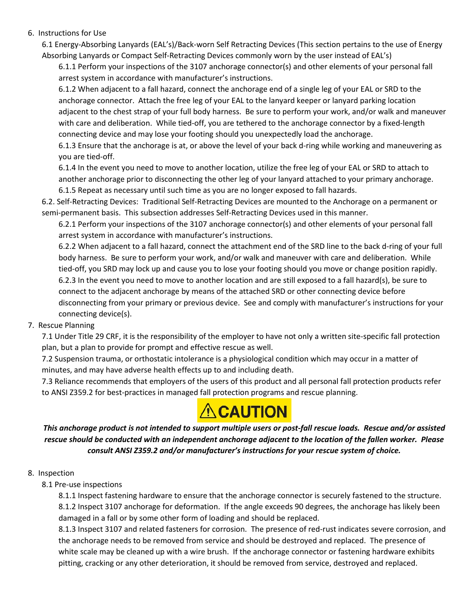#### 6. Instructions for Use

6.1 Energy-Absorbing Lanyards (EAL's)/Back-worn Self Retracting Devices (This section pertains to the use of Energy Absorbing Lanyards or Compact Self-Retracting Devices commonly worn by the user instead of EAL's)

6.1.1 Perform your inspections of the 3107 anchorage connector(s) and other elements of your personal fall arrest system in accordance with manufacturer's instructions.

6.1.2 When adjacent to a fall hazard, connect the anchorage end of a single leg of your EAL or SRD to the anchorage connector. Attach the free leg of your EAL to the lanyard keeper or lanyard parking location adjacent to the chest strap of your full body harness. Be sure to perform your work, and/or walk and maneuver with care and deliberation. While tied-off, you are tethered to the anchorage connector by a fixed-length connecting device and may lose your footing should you unexpectedly load the anchorage.

6.1.3 Ensure that the anchorage is at, or above the level of your back d-ring while working and maneuvering as you are tied-off.

6.1.4 In the event you need to move to another location, utilize the free leg of your EAL or SRD to attach to another anchorage prior to disconnecting the other leg of your lanyard attached to your primary anchorage. 6.1.5 Repeat as necessary until such time as you are no longer exposed to fall hazards.

6.2. Self-Retracting Devices: Traditional Self-Retracting Devices are mounted to the Anchorage on a permanent or semi-permanent basis. This subsection addresses Self-Retracting Devices used in this manner.

6.2.1 Perform your inspections of the 3107 anchorage connector(s) and other elements of your personal fall arrest system in accordance with manufacturer's instructions.

6.2.2 When adjacent to a fall hazard, connect the attachment end of the SRD line to the back d-ring of your full body harness. Be sure to perform your work, and/or walk and maneuver with care and deliberation. While tied-off, you SRD may lock up and cause you to lose your footing should you move or change position rapidly. 6.2.3 In the event you need to move to another location and are still exposed to a fall hazard(s), be sure to connect to the adjacent anchorage by means of the attached SRD or other connecting device before disconnecting from your primary or previous device. See and comply with manufacturer's instructions for your connecting device(s).

#### 7. Rescue Planning

7.1 Under Title 29 CRF, it is the responsibility of the employer to have not only a written site-specific fall protection plan, but a plan to provide for prompt and effective rescue as well.

7.2 Suspension trauma, or orthostatic intolerance is a physiological condition which may occur in a matter of minutes, and may have adverse health effects up to and including death.

7.3 Reliance recommends that employers of the users of this product and all personal fall protection products refer to ANSI Z359.2 for best-practices in managed fall protection programs and rescue planning.



*This anchorage product is not intended to support multiple users or post-fall rescue loads. Rescue and/or assisted rescue should be conducted with an independent anchorage adjacent to the location of the fallen worker. Please consult ANSI Z359.2 and/or manufacturer's instructions for your rescue system of choice.*

#### 8. Inspection

#### 8.1 Pre-use inspections

8.1.1 Inspect fastening hardware to ensure that the anchorage connector is securely fastened to the structure. 8.1.2 Inspect 3107 anchorage for deformation. If the angle exceeds 90 degrees, the anchorage has likely been damaged in a fall or by some other form of loading and should be replaced.

8.1.3 Inspect 3107 and related fasteners for corrosion. The presence of red-rust indicates severe corrosion, and the anchorage needs to be removed from service and should be destroyed and replaced. The presence of white scale may be cleaned up with a wire brush. If the anchorage connector or fastening hardware exhibits pitting, cracking or any other deterioration, it should be removed from service, destroyed and replaced.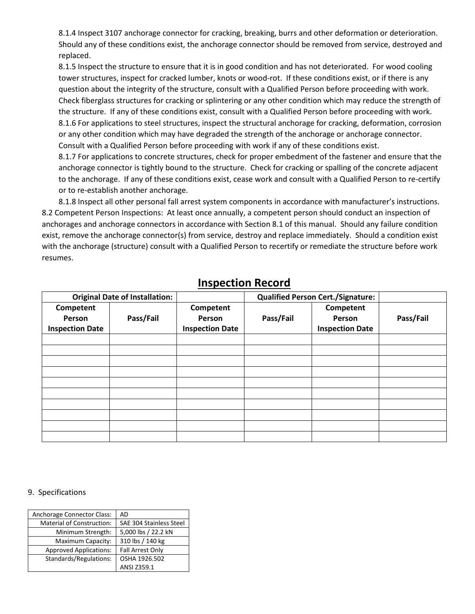8.1.4 Inspect 3107 anchorage connector for cracking, breaking, burrs and other deformation or deterioration. Should any of these conditions exist, the anchorage connector should be removed from service, destroyed and replaced.

8.1.5 Inspect the structure to ensure that it is in good condition and has not deteriorated. For wood cooling tower structures, inspect for cracked lumber, knots or wood-rot. If these conditions exist, or if there is any question about the integrity of the structure, consult with a Qualified Person before proceeding with work. Check fiberglass structures for cracking or splintering or any other condition which may reduce the strength of the structure. If any of these conditions exist, consult with a Qualified Person before proceeding with work. 8.1.6 For applications to steel structures, inspect the structural anchorage for cracking, deformation, corrosion or any other condition which may have degraded the strength of the anchorage or anchorage connector. Consult with a Qualified Person before proceeding with work if any of these conditions exist.

8.1.7 For applications to concrete structures, check for proper embedment of the fastener and ensure that the anchorage connector is tightly bound to the structure. Check for cracking or spalling of the concrete adjacent to the anchorage. If any of these conditions exist, cease work and consult with a Qualified Person to re-certify or to re-establish another anchorage.

8.1.8 Inspect all other personal fall arrest system components in accordance with manufacturer's instructions. 8.2 Competent Person Inspections: At least once annually, a competent person should conduct an inspection of anchorages and anchorage connectors in accordance with Section 8.1 of this manual. Should any failure condition exist, remove the anchorage connector(s) from service, destroy and replace immediately. Should a condition exist with the anchorage (structure) consult with a Qualified Person to recertify or remediate the structure before work resumes.

| <b>Original Date of Installation:</b> |           | <b>Qualified Person Cert./Signature:</b> |           |                        |           |
|---------------------------------------|-----------|------------------------------------------|-----------|------------------------|-----------|
| Competent                             |           | Competent                                |           | Competent              |           |
| Person                                | Pass/Fail | Person                                   | Pass/Fail | Person                 | Pass/Fail |
| <b>Inspection Date</b>                |           | <b>Inspection Date</b>                   |           | <b>Inspection Date</b> |           |
|                                       |           |                                          |           |                        |           |
|                                       |           |                                          |           |                        |           |
|                                       |           |                                          |           |                        |           |
|                                       |           |                                          |           |                        |           |
|                                       |           |                                          |           |                        |           |
|                                       |           |                                          |           |                        |           |
|                                       |           |                                          |           |                        |           |
|                                       |           |                                          |           |                        |           |
|                                       |           |                                          |           |                        |           |
|                                       |           |                                          |           |                        |           |

# **Inspection Record**

#### 9. Specifications

| Anchorage Connector Class:       | AD                      |  |
|----------------------------------|-------------------------|--|
| <b>Material of Construction:</b> | SAE 304 Stainless Steel |  |
| Minimum Strength:                | 5,000 lbs / 22.2 kN     |  |
| Maximum Capacity:                | 310 lbs / 140 kg        |  |
| <b>Approved Applications:</b>    | <b>Fall Arrest Only</b> |  |
| Standards/Regulations:           | OSHA 1926.502           |  |
|                                  | ANSI Z359.1             |  |